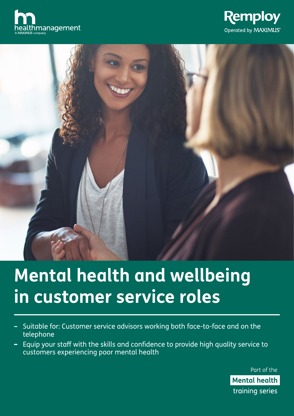





# **Mental health and wellbeing in customer service roles**

- Suitable for: Customer service advisors working both face-to-face and on the telephone
- Equip your staff with the skills and confidence to provide high quality service to customers experiencing poor mental health

Part of the **Mental health** training series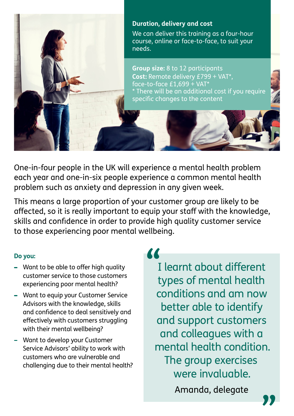

One-in-four people in the UK will experience a mental health problem each year and one-in-six people experience a common mental health problem such as anxiety and depression in any given week.

This means a large proportion of your customer group are likely to be affected, so it is really important to equip your staff with the knowledge, skills and confidence in order to provide high quality customer service to those experiencing poor mental wellbeing.

# **Do you:**

- Want to be able to offer high quality customer service to those customers experiencing poor mental health?
- Want to equip your Customer Service Advisors with the knowledge, skills and confidence to deal sensitively and effectively with customers struggling with their mental wellbeing?
- Want to develop your Customer Service Advisors' ability to work with customers who are vulnerable and challenging due to their mental health?

**"**

I learnt about different types of mental health conditions and am now better able to identify and support customers and colleagues with a mental health condition. The group exercises were invaluable.

Amanda, delegate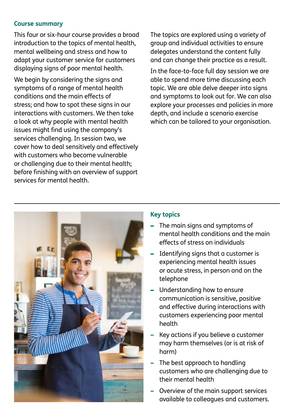# **Course summary**

This four or six-hour course provides a broad introduction to the topics of mental health, mental wellbeing and stress and how to adapt your customer service for customers displaying signs of poor mental health.

We begin by considering the signs and symptoms of a range of mental health conditions and the main effects of stress; and how to spot these signs in our interactions with customers. We then take a look at why people with mental health issues might find using the company's services challenging. In session two, we cover how to deal sensitively and effectively with customers who become vulnerable or challenging due to their mental health; before finishing with an overview of support services for mental health.

The topics are explored using a variety of group and individual activities to ensure delegates understand the content fully and can change their practice as a result.

In the face-to-face full day session we are able to spend more time discussing each topic. We are able delve deeper into signs and symptoms to look out for. We can also explore your processes and policies in more depth, and include a scenario exercise which can be tailored to your organisation.



# **Key topics**

- The main signs and symptoms of mental health conditions and the main effects of stress on individuals
- Identifying signs that a customer is experiencing mental health issues or acute stress, in person and on the telephone
- Understanding how to ensure communication is sensitive, positive and effective during interactions with customers experiencing poor mental health
- Key actions if you believe a customer may harm themselves (or is at risk of harm)
- The best approach to handling customers who are challenging due to their mental health
- Overview of the main support services available to colleagues and customers.